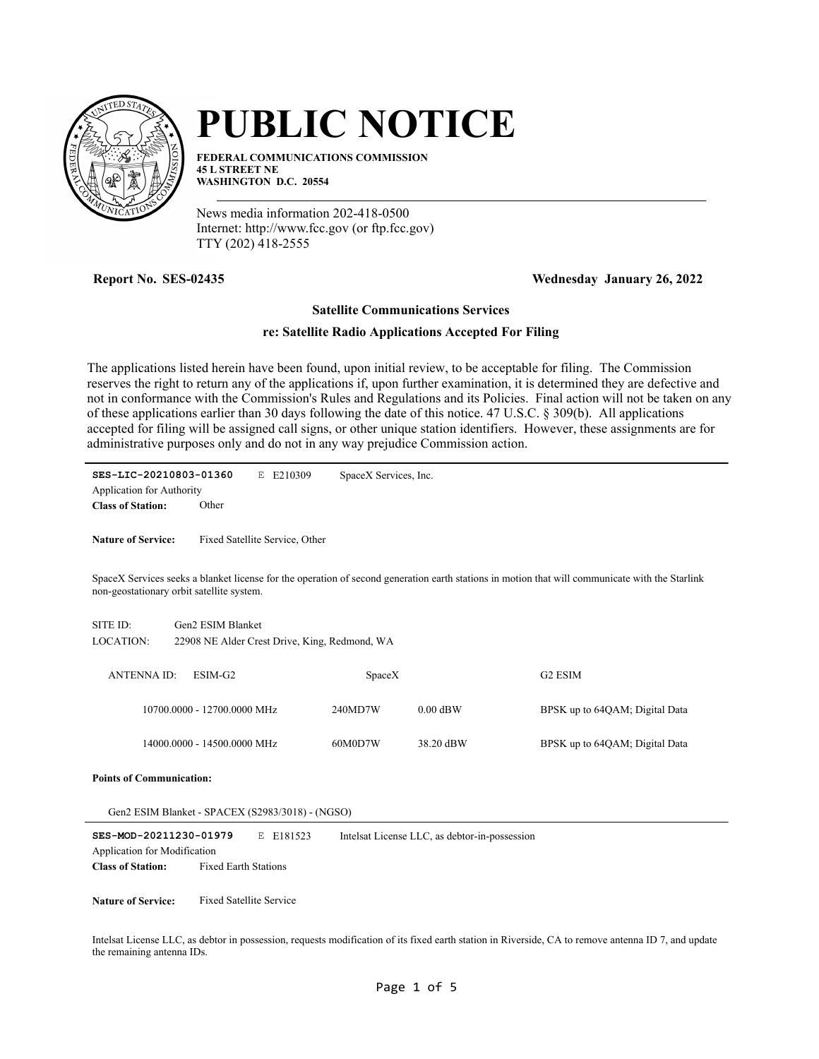

# **PUBLIC NOTICE**

**FEDERAL COMMUNICATIONS COMMISSION 45 L STREET NE WASHINGTON D.C. 20554**

News media information 202-418-0500 Internet: http://www.fcc.gov (or ftp.fcc.gov) TTY (202) 418-2555

**Report No. SES-02435 Wednesday January 26, 2022**

## **Satellite Communications Services**

## **re: Satellite Radio Applications Accepted For Filing**

The applications listed herein have been found, upon initial review, to be acceptable for filing. The Commission reserves the right to return any of the applications if, upon further examination, it is determined they are defective and not in conformance with the Commission's Rules and Regulations and its Policies. Final action will not be taken on any of these applications earlier than 30 days following the date of this notice. 47 U.S.C. § 309(b). All applications accepted for filing will be assigned call signs, or other unique station identifiers. However, these assignments are for administrative purposes only and do not in any way prejudice Commission action.

**SES-LIC-20210803-01360** E E210309 Application for Authority SpaceX Services, Inc.

**Class of Station:** Other

**Nature of Service:** Fixed Satellite Service, Other

SpaceX Services seeks a blanket license for the operation of second generation earth stations in motion that will communicate with the Starlink non-geostationary orbit satellite system.

| SITE ID:  | Gen2 ESIM Blanket                             |
|-----------|-----------------------------------------------|
| LOCATION: | 22908 NE Alder Crest Drive, King, Redmond, WA |

| ANTENNA ID: | ESIM-G2                     | SpaceX  |            | G <sub>2</sub> ESIM            |
|-------------|-----------------------------|---------|------------|--------------------------------|
|             | 10700.0000 - 12700.0000 MHz | 240MD7W | $0.00$ dBW | BPSK up to 64QAM; Digital Data |
|             | 14000.0000 - 14500.0000 MHz | 60M0D7W | 38.20 dBW  | BPSK up to 64QAM; Digital Data |

**Points of Communication:**

Gen2 ESIM Blanket - SPACEX (S2983/3018) - (NGSO)

| SES-MOD-20211230-01979       |                             | E E181523 | Intelsat License LLC, as debtor-in-possession |
|------------------------------|-----------------------------|-----------|-----------------------------------------------|
| Application for Modification |                             |           |                                               |
| <b>Class of Station:</b>     | <b>Fixed Earth Stations</b> |           |                                               |

**Nature of Service:** Fixed Satellite Service

Intelsat License LLC, as debtor in possession, requests modification of its fixed earth station in Riverside, CA to remove antenna ID 7, and update the remaining antenna IDs.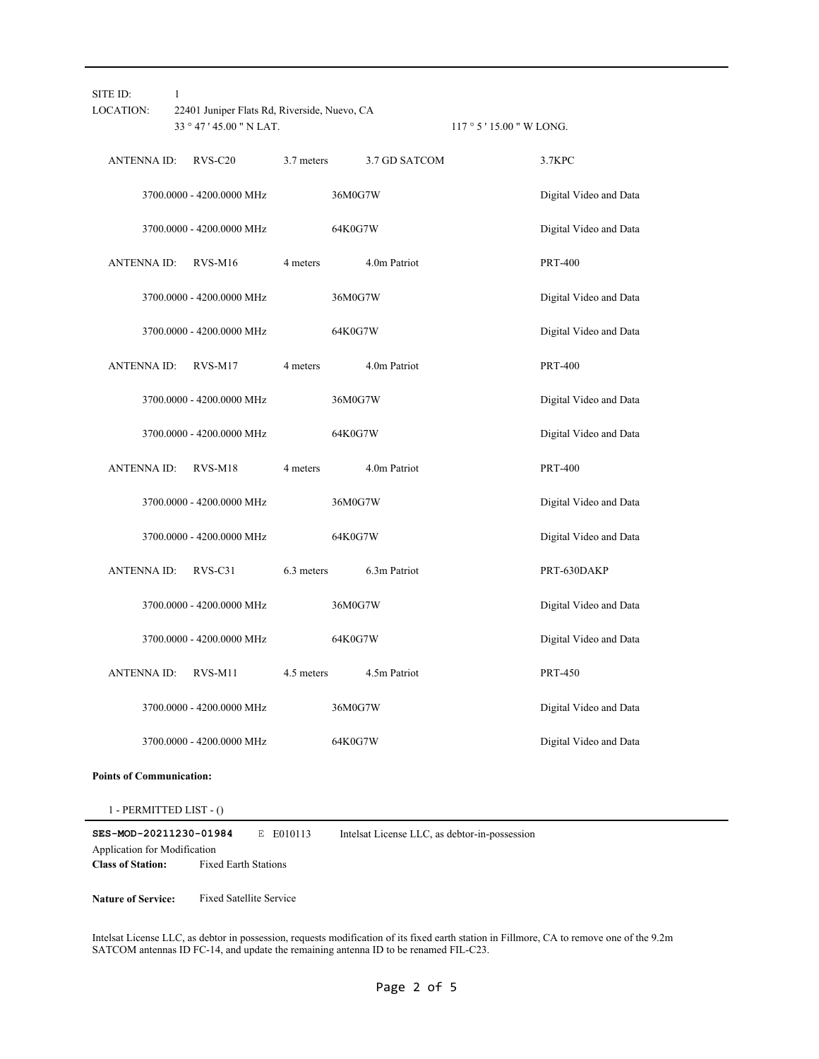| SITE ID:<br>LOCATION: | 1<br>22401 Juniper Flats Rd, Riverside, Nuevo, CA<br>33 ° 47 ' 45.00 " N LAT. |            |               | $117°5'15.00''$ W LONG. |                        |
|-----------------------|-------------------------------------------------------------------------------|------------|---------------|-------------------------|------------------------|
| <b>ANTENNA ID:</b>    | $RVS-C20$                                                                     | 3.7 meters | 3.7 GD SATCOM |                         | 3.7KPC                 |
|                       | 3700.0000 - 4200.0000 MHz                                                     |            | 36M0G7W       |                         | Digital Video and Data |
|                       | 3700.0000 - 4200.0000 MHz                                                     |            | 64K0G7W       |                         | Digital Video and Data |
| <b>ANTENNA ID:</b>    | $RVS-M16$                                                                     | 4 meters   | 4.0m Patriot  |                         | <b>PRT-400</b>         |
|                       | 3700.0000 - 4200.0000 MHz                                                     |            | 36M0G7W       |                         | Digital Video and Data |
|                       | 3700.0000 - 4200.0000 MHz                                                     |            | 64K0G7W       |                         | Digital Video and Data |
| <b>ANTENNA ID:</b>    | RVS-M17                                                                       | 4 meters   | 4.0m Patriot  |                         | <b>PRT-400</b>         |
|                       | 3700.0000 - 4200.0000 MHz                                                     |            | 36M0G7W       |                         | Digital Video and Data |
|                       | 3700.0000 - 4200.0000 MHz                                                     |            | 64K0G7W       |                         | Digital Video and Data |
| <b>ANTENNA ID:</b>    | RVS-M18                                                                       | 4 meters   | 4.0m Patriot  |                         | <b>PRT-400</b>         |
|                       | 3700.0000 - 4200.0000 MHz                                                     |            | 36M0G7W       |                         | Digital Video and Data |
|                       | 3700.0000 - 4200.0000 MHz                                                     |            | 64K0G7W       |                         | Digital Video and Data |
| <b>ANTENNA ID:</b>    | $RVS-C31$                                                                     | 6.3 meters | 6.3m Patriot  |                         | PRT-630DAKP            |
|                       | 3700.0000 - 4200.0000 MHz                                                     |            | 36M0G7W       |                         | Digital Video and Data |
|                       | 3700.0000 - 4200.0000 MHz                                                     |            | 64K0G7W       |                         | Digital Video and Data |
| <b>ANTENNA ID:</b>    | RVS-M11                                                                       | 4.5 meters | 4.5m Patriot  |                         | <b>PRT-450</b>         |
|                       | 3700.0000 - 4200.0000 MHz                                                     |            | 36M0G7W       |                         | Digital Video and Data |
|                       | 3700.0000 - 4200.0000 MHz                                                     |            | 64K0G7W       |                         | Digital Video and Data |

#### **Points of Communication:**

1 - PERMITTED LIST - ()

**SES-MOD-20211230-01984** E E010113 **Class of Station:** Fixed Earth Stations Application for Modification Intelsat License LLC, as debtor-in-possession

**Nature of Service:** Fixed Satellite Service

Intelsat License LLC, as debtor in possession, requests modification of its fixed earth station in Fillmore, CA to remove one of the 9.2m SATCOM antennas ID FC-14, and update the remaining antenna ID to be renamed FIL-C23.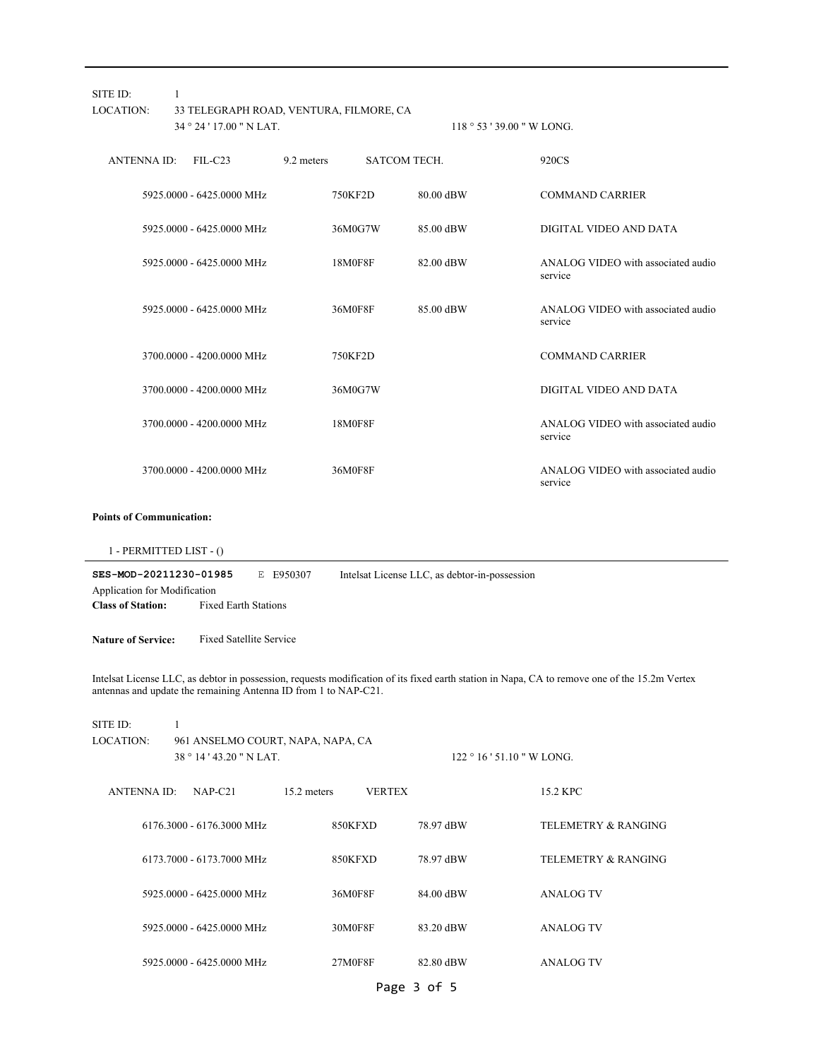| SITE ID:<br>LOCATION:                                                                                                                                                                                            | 1<br>33 TELEGRAPH ROAD, VENTURA, FILMORE, CA<br>34 ° 24 ' 17.00 " N LAT. |             | 118 ° 53 ' 39.00 " W LONG.                    |                                               |  |  |
|------------------------------------------------------------------------------------------------------------------------------------------------------------------------------------------------------------------|--------------------------------------------------------------------------|-------------|-----------------------------------------------|-----------------------------------------------|--|--|
| <b>ANTENNA ID:</b>                                                                                                                                                                                               | $FIL-C23$                                                                | 9.2 meters  | SATCOM TECH.                                  | 920CS                                         |  |  |
|                                                                                                                                                                                                                  | 5925.0000 - 6425.0000 MHz                                                | 750KF2D     | 80.00 dBW                                     | <b>COMMAND CARRIER</b>                        |  |  |
|                                                                                                                                                                                                                  | 5925.0000 - 6425.0000 MHz                                                | 36M0G7W     | 85.00 dBW                                     | DIGITAL VIDEO AND DATA                        |  |  |
|                                                                                                                                                                                                                  | 5925.0000 - 6425.0000 MHz                                                | 18M0F8F     | 82.00 dBW                                     | ANALOG VIDEO with associated audio<br>service |  |  |
|                                                                                                                                                                                                                  | 5925.0000 - 6425.0000 MHz                                                | 36M0F8F     | 85.00 dBW                                     | ANALOG VIDEO with associated audio<br>service |  |  |
|                                                                                                                                                                                                                  | 3700.0000 - 4200.0000 MHz                                                | 750KF2D     |                                               | <b>COMMAND CARRIER</b>                        |  |  |
|                                                                                                                                                                                                                  | 3700.0000 - 4200.0000 MHz                                                | 36M0G7W     |                                               | DIGITAL VIDEO AND DATA                        |  |  |
|                                                                                                                                                                                                                  | 3700.0000 - 4200.0000 MHz                                                | 18M0F8F     |                                               | ANALOG VIDEO with associated audio<br>service |  |  |
|                                                                                                                                                                                                                  | 3700.0000 - 4200.0000 MHz                                                | 36M0F8F     |                                               | ANALOG VIDEO with associated audio<br>service |  |  |
| <b>Points of Communication:</b><br>SES-MOD-20211230-01985<br>Application for Modification<br><b>Class of Station:</b>                                                                                            | $1 - PERMITIED LIST - ()$<br><b>Fixed Earth Stations</b>                 | E E950307   | Intelsat License LLC, as debtor-in-possession |                                               |  |  |
| <b>Nature of Service:</b>                                                                                                                                                                                        | <b>Fixed Satellite Service</b>                                           |             |                                               |                                               |  |  |
| Intelsat License LLC, as debtor in possession, requests modification of its fixed earth station in Napa, CA to remove one of the 15.2m Vertex<br>antennas and update the remaining Antenna ID from 1 to NAP-C21. |                                                                          |             |                                               |                                               |  |  |
| SITE ID:<br>LOCATION:                                                                                                                                                                                            | $\mathbf{1}$<br>961 ANSELMO COURT, NAPA, NAPA, CA                        |             |                                               |                                               |  |  |
|                                                                                                                                                                                                                  | 38 ° 14 ' 43.20 " N LAT.                                                 |             |                                               | $122 \degree 16$ ' 51.10 " W LONG.            |  |  |
| ANTENNA ID:                                                                                                                                                                                                      | NAP-C21                                                                  | 15.2 meters | <b>VERTEX</b>                                 | 15.2 KPC                                      |  |  |
|                                                                                                                                                                                                                  | 6176.3000 - 6176.3000 MHz                                                | 850KFXD     | 78.97 dBW                                     | <b>TELEMETRY &amp; RANGING</b>                |  |  |
|                                                                                                                                                                                                                  | 6173.7000 - 6173.7000 MHz                                                | 850KFXD     | 78.97 dBW                                     | <b>TELEMETRY &amp; RANGING</b>                |  |  |
|                                                                                                                                                                                                                  | 5925.0000 - 6425.0000 MHz                                                | 36M0F8F     | 84.00 dBW                                     | <b>ANALOG TV</b>                              |  |  |
|                                                                                                                                                                                                                  | 5925.0000 - 6425.0000 MHz                                                | 30M0F8F     | 83.20 dBW                                     | <b>ANALOG TV</b>                              |  |  |
|                                                                                                                                                                                                                  | 5925.0000 - 6425.0000 MHz                                                | 27M0F8F     | 82.80 dBW                                     | <b>ANALOG TV</b>                              |  |  |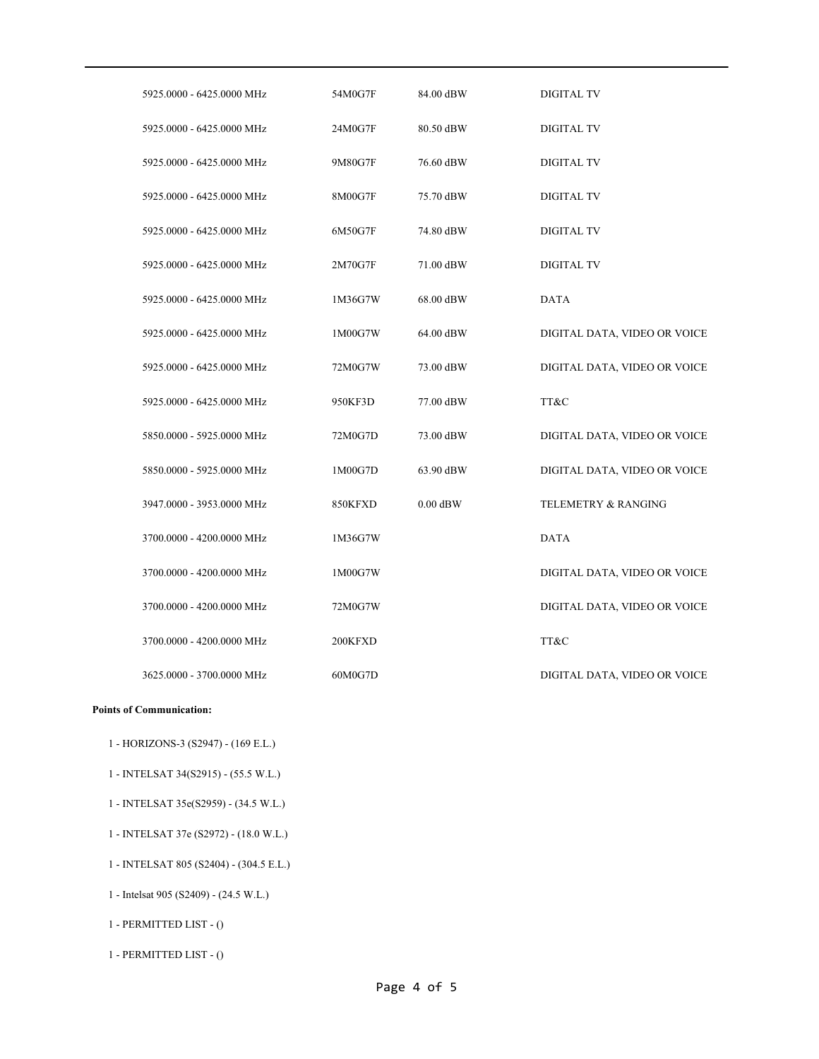| 5925,0000 - 6425,0000 MHz | 54M0G7F | 84.00 dBW  | <b>DIGITAL TV</b>            |
|---------------------------|---------|------------|------------------------------|
| 5925.0000 - 6425.0000 MHz | 24M0G7F | 80.50 dBW  | <b>DIGITAL TV</b>            |
| 5925.0000 - 6425.0000 MHz | 9M80G7F | 76.60 dBW  | <b>DIGITAL TV</b>            |
| 5925.0000 - 6425.0000 MHz | 8M00G7F | 75.70 dBW  | <b>DIGITAL TV</b>            |
| 5925.0000 - 6425.0000 MHz | 6M50G7F | 74.80 dBW  | <b>DIGITAL TV</b>            |
| 5925.0000 - 6425.0000 MHz | 2M70G7F | 71.00 dBW  | <b>DIGITAL TV</b>            |
| 5925.0000 - 6425.0000 MHz | 1M36G7W | 68.00 dBW  | <b>DATA</b>                  |
| 5925.0000 - 6425.0000 MHz | 1M00G7W | 64.00 dBW  | DIGITAL DATA, VIDEO OR VOICE |
| 5925.0000 - 6425.0000 MHz | 72M0G7W | 73.00 dBW  | DIGITAL DATA, VIDEO OR VOICE |
| 5925.0000 - 6425.0000 MHz | 950KF3D | 77.00 dBW  | TT&C                         |
| 5850.0000 - 5925.0000 MHz | 72M0G7D | 73.00 dBW  | DIGITAL DATA, VIDEO OR VOICE |
| 5850.0000 - 5925.0000 MHz | 1M00G7D | 63.90 dBW  | DIGITAL DATA, VIDEO OR VOICE |
| 3947.0000 - 3953.0000 MHz | 850KFXD | $0.00$ dBW | TELEMETRY & RANGING          |
| 3700.0000 - 4200.0000 MHz | 1M36G7W |            | <b>DATA</b>                  |
| 3700.0000 - 4200.0000 MHz | 1M00G7W |            | DIGITAL DATA, VIDEO OR VOICE |
| 3700.0000 - 4200.0000 MHz | 72M0G7W |            | DIGITAL DATA, VIDEO OR VOICE |
| 3700.0000 - 4200.0000 MHz | 200KFXD |            | TT&C                         |
| 3625.0000 - 3700.0000 MHz | 60M0G7D |            | DIGITAL DATA, VIDEO OR VOICE |

#### **Points of Communication:**

- 1 HORIZONS-3 (S2947) (169 E.L.)
- 1 INTELSAT 34(S2915) (55.5 W.L.)
- 1 INTELSAT 35e(S2959) (34.5 W.L.)
- 1 INTELSAT 37e (S2972) (18.0 W.L.)
- 1 INTELSAT 805 (S2404) (304.5 E.L.)
- 1 Intelsat 905 (S2409) (24.5 W.L.)
- 1 PERMITTED LIST ()
- 1 PERMITTED LIST ()